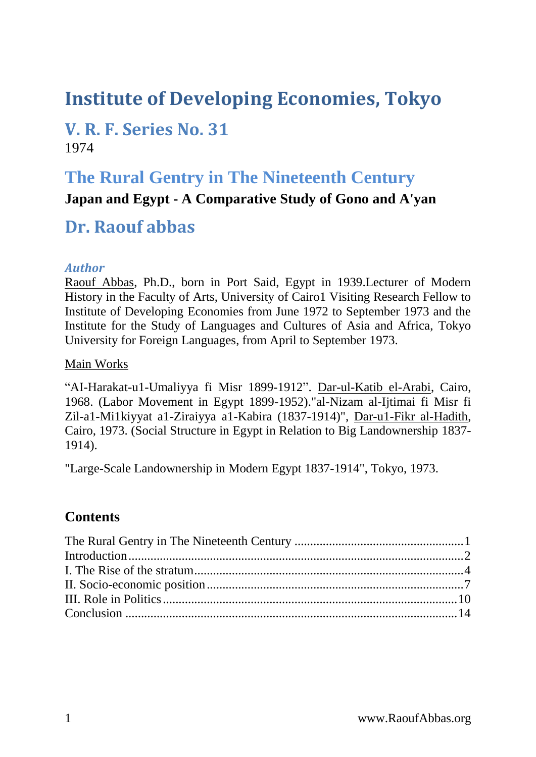# **Institute of Developing Economies, Tokyo**

### **V. R. F. Series No. 31** 1974

### <span id="page-0-0"></span>**The Rural Gentry in The Nineteenth Century**

#### **Japan and Egypt - A Comparative Study of Gono and A'yan**

## **Dr. Raouf abbas**

#### *Author*

Raouf Abbas, Ph.D., born in Port Said, Egypt in 1939.Lecturer of Modern History in the Faculty of Arts, University of Cairo1 Visiting Research Fellow to Institute of Developing Economies from June 1972 to September 1973 and the Institute for the Study of Languages and Cultures of Asia and Africa, Tokyo University for Foreign Languages, from April to September 1973.

#### Main Works

"AI-Harakat-u1-Umaliyya fi Misr 1899-1912". Dar-ul-Katib el-Arabi, Cairo, 1968. (Labor Movement in Egypt 1899-1952)."al-Nizam al-Ijtimai fi Misr fi Zil-a1-Mi1kiyyat a1-Ziraiyya a1-Kabira (1837-1914)", Dar-u1-Fikr al-Hadith, Cairo, 1973. (Social Structure in Egypt in Relation to Big Landownership 1837- 1914).

"Large-Scale Landownership in Modern Egypt 1837-1914", Tokyo, 1973.

### **Contents**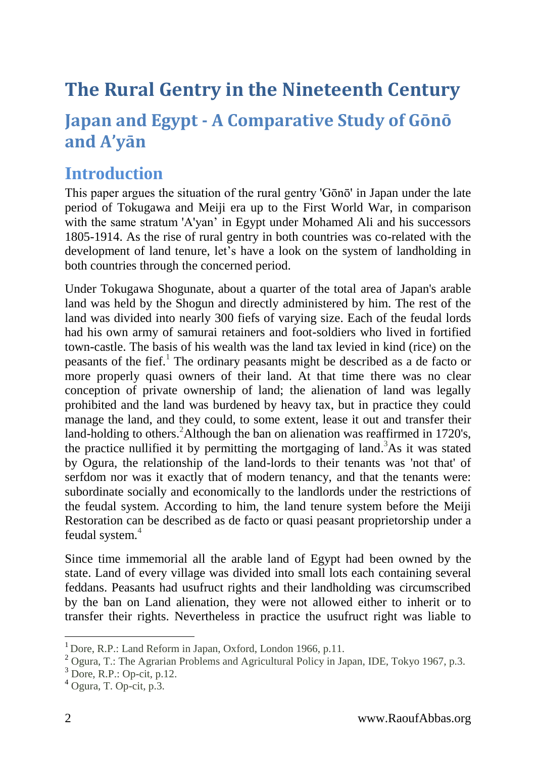# **The Rural Gentry in the Nineteenth Century**

## **Japan and Egypt - A Comparative Study of Gōnō and A'yān**

## <span id="page-1-0"></span>**Introduction**

This paper argues the situation of the rural gentry 'Gōnō' in Japan under the late period of Tokugawa and Meiji era up to the First World War, in comparison with the same stratum 'A'yan' in Egypt under Mohamed Ali and his successors 1805-1914. As the rise of rural gentry in both countries was co-related with the development of land tenure, let's have a look on the system of landholding in both countries through the concerned period.

Under Tokugawa Shogunate, about a quarter of the total area of Japan's arable land was held by the Shogun and directly administered by him. The rest of the land was divided into nearly 300 fiefs of varying size. Each of the feudal lords had his own army of samurai retainers and foot-soldiers who lived in fortified town-castle. The basis of his wealth was the land tax levied in kind (rice) on the peasants of the fief.<sup>1</sup> The ordinary peasants might be described as a de facto or more properly quasi owners of their land. At that time there was no clear conception of private ownership of land; the alienation of land was legally prohibited and the land was burdened by heavy tax, but in practice they could manage the land, and they could, to some extent, lease it out and transfer their land-holding to others.<sup>2</sup>Although the ban on alienation was reaffirmed in 1720's, the practice nullified it by permitting the mortgaging of land. <sup>3</sup>As it was stated by Ogura, the relationship of the land-lords to their tenants was 'not that' of serfdom nor was it exactly that of modern tenancy, and that the tenants were: subordinate socially and economically to the landlords under the restrictions of the feudal system. According to him, the land tenure system before the Meiji Restoration can be described as de facto or quasi peasant proprietorship under a feudal system.<sup>4</sup>

Since time immemorial all the arable land of Egypt had been owned by the state. Land of every village was divided into small lots each containing several feddans. Peasants had usufruct rights and their landholding was circumscribed by the ban on Land alienation, they were not allowed either to inherit or to transfer their rights. Nevertheless in practice the usufruct right was liable to

<sup>&</sup>lt;sup>1</sup> Dore, R.P.: Land Reform in Japan, Oxford, London 1966, p.11.

<sup>2</sup> Ogura, T.: The Agrarian Problems and Agricultural Policy in Japan, IDE, Tokyo 1967, p.3.

 $3$  Dore, R.P.: Op-cit, p.12.

<sup>4</sup> Ogura, T. Op-cit, p.3.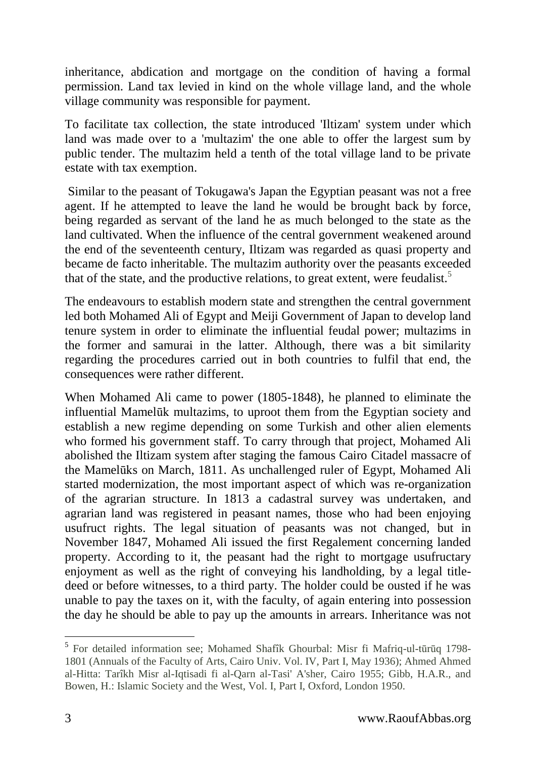inheritance, abdication and mortgage on the condition of having a formal permission. Land tax levied in kind on the whole village land, and the whole village community was responsible for payment.

To facilitate tax collection, the state introduced 'Iltizam' system under which land was made over to a 'multazim' the one able to offer the largest sum by public tender. The multazim held a tenth of the total village land to be private estate with tax exemption.

Similar to the peasant of Tokugawa's Japan the Egyptian peasant was not a free agent. If he attempted to leave the land he would be brought back by force, being regarded as servant of the land he as much belonged to the state as the land cultivated. When the influence of the central government weakened around the end of the seventeenth century, Iltizam was regarded as quasi property and became de facto inheritable. The multazim authority over the peasants exceeded that of the state, and the productive relations, to great extent, were feudalist.<sup>5</sup>

The endeavours to establish modern state and strengthen the central government led both Mohamed Ali of Egypt and Meiji Government of Japan to develop land tenure system in order to eliminate the influential feudal power; multazims in the former and samurai in the latter. Although, there was a bit similarity regarding the procedures carried out in both countries to fulfil that end, the consequences were rather different.

When Mohamed Ali came to power (1805-1848), he planned to eliminate the influential Mamelūk multazims, to uproot them from the Egyptian society and establish a new regime depending on some Turkish and other alien elements who formed his government staff. To carry through that project, Mohamed Ali abolished the Iltizam system after staging the famous Cairo Citadel massacre of the Mamelūks on March, 1811. As unchallenged ruler of Egypt, Mohamed Ali started modernization, the most important aspect of which was re-organization of the agrarian structure. In 1813 a cadastral survey was undertaken, and agrarian land was registered in peasant names, those who had been enjoying usufruct rights. The legal situation of peasants was not changed, but in November 1847, Mohamed Ali issued the first Regalement concerning landed property. According to it, the peasant had the right to mortgage usufructary enjoyment as well as the right of conveying his landholding, by a legal titledeed or before witnesses, to a third party. The holder could be ousted if he was unable to pay the taxes on it, with the faculty, of again entering into possession the day he should be able to pay up the amounts in arrears. Inheritance was not

 5 For detailed information see; Mohamed Shafîk Ghourbal: Misr fi Mafriq-ul-tūrūq 1798- 1801 (Annuals of the Faculty of Arts, Cairo Univ. Vol. IV, Part I, May 1936); Ahmed Ahmed al-Hitta: Tarîkh Misr al-Iqtisadi fi al-Qarn al-Tasi' A'sher, Cairo 1955; Gibb, H.A.R., and Bowen, H.: Islamic Society and the West, Vol. I, Part I, Oxford, London 1950.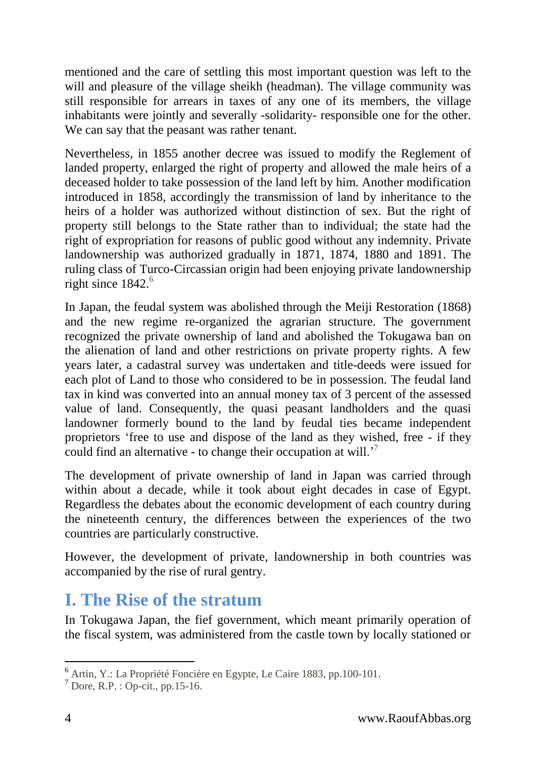mentioned and the care of settling this most important question was left to the will and pleasure of the village sheikh (headman). The village community was still responsible for arrears in taxes of any one of its members, the village inhabitants were jointly and severally -solidarity- responsible one for the other. We can say that the peasant was rather tenant.

Nevertheless, in 1855 another decree was issued to modify the Reglement of landed property, enlarged the right of property and allowed the male heirs of a deceased holder to take possession of the land left by him. Another modification introduced in 1858, accordingly the transmission of land by inheritance to the heirs of a holder was authorized without distinction of sex. But the right of property still belongs to the State rather than to individual; the state had the right of expropriation for reasons of public good without any indemnity. Private landownership was authorized gradually in 1871, 1874, 1880 and 1891. The ruling class of Turco-Circassian origin had been enjoying private landownership right since  $1842<sup>6</sup>$ 

In Japan, the feudal system was abolished through the Meiji Restoration (1868) and the new regime re-organized the agrarian structure. The government recognized the private ownership of land and abolished the Tokugawa ban on the alienation of land and other restrictions on private property rights. A few years later, a cadastral survey was undertaken and title-deeds were issued for each plot of Land to those who considered to be in possession. The feudal land tax in kind was converted into an annual money tax of 3 percent of the assessed value of land. Consequently, the quasi peasant landholders and the quasi landowner formerly bound to the land by feudal ties became independent proprietors 'free to use and dispose of the land as they wished, free - if they could find an alternative - to change their occupation at will.'<sup>7</sup>

The development of private ownership of land in Japan was carried through within about a decade, while it took about eight decades in case of Egypt. Regardless the debates about the economic development of each country during the nineteenth century, the differences between the experiences of the two countries are particularly constructive.

However, the development of private, landownership in both countries was accompanied by the rise of rural gentry.

## <span id="page-3-0"></span>**I. The Rise of the stratum**

In Tokugawa Japan, the fief government, which meant primarily operation of the fiscal system, was administered from the castle town by locally stationed or

<sup>6</sup> Artin, Y.: La Propriété Foncière en Egypte, Le Caire 1883, pp.100-101.

 $<sup>7</sup>$  Dore, R.P. : Op-cit., pp. 15-16.</sup>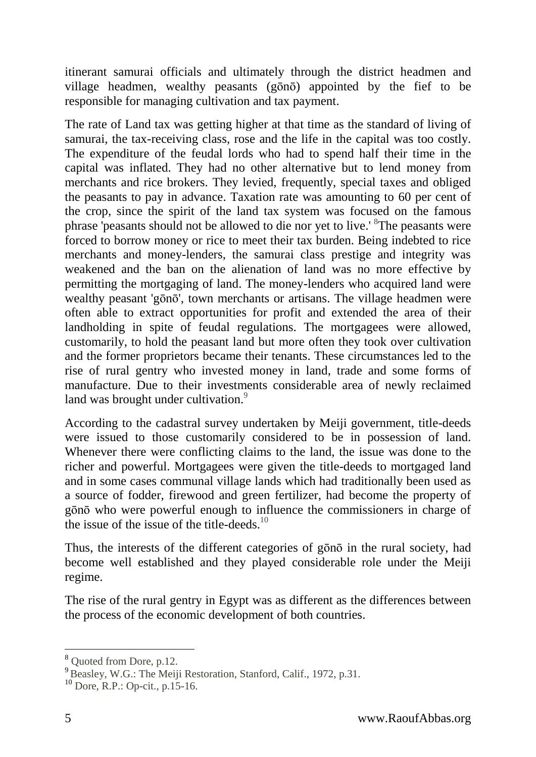itinerant samurai officials and ultimately through the district headmen and village headmen, wealthy peasants (gōnō) appointed by the fief to be responsible for managing cultivation and tax payment.

The rate of Land tax was getting higher at that time as the standard of living of samurai, the tax-receiving class, rose and the life in the capital was too costly. The expenditure of the feudal lords who had to spend half their time in the capital was inflated. They had no other alternative but to lend money from merchants and rice brokers. They levied, frequently, special taxes and obliged the peasants to pay in advance. Taxation rate was amounting to 60 per cent of the crop, since the spirit of the land tax system was focused on the famous phrase peasants should not be allowed to die nor yet to live.' <sup>8</sup>The peasants were forced to borrow money or rice to meet their tax burden. Being indebted to rice merchants and money-lenders, the samurai class prestige and integrity was weakened and the ban on the alienation of land was no more effective by permitting the mortgaging of land. The money-lenders who acquired land were wealthy peasant 'gōnō', town merchants or artisans. The village headmen were often able to extract opportunities for profit and extended the area of their landholding in spite of feudal regulations. The mortgagees were allowed, customarily, to hold the peasant land but more often they took over cultivation and the former proprietors became their tenants. These circumstances led to the rise of rural gentry who invested money in land, trade and some forms of manufacture. Due to their investments considerable area of newly reclaimed land was brought under cultivation.<sup>9</sup>

According to the cadastral survey undertaken by Meiji government, title-deeds were issued to those customarily considered to be in possession of land. Whenever there were conflicting claims to the land, the issue was done to the richer and powerful. Mortgagees were given the title-deeds to mortgaged land and in some cases communal village lands which had traditionally been used as a source of fodder, firewood and green fertilizer, had become the property of gōnō who were powerful enough to influence the commissioners in charge of the issue of the issue of the title-deeds.<sup>10</sup>

Thus, the interests of the different categories of gōnō in the rural society, had become well established and they played considerable role under the Meiji regime.

The rise of the rural gentry in Egypt was as different as the differences between the process of the economic development of both countries.

<sup>8</sup> Quoted from Dore, p.12.

<sup>&</sup>lt;sup>9</sup> Beasley, W.G.: The Meiji Restoration, Stanford, Calif., 1972, p.31.

 $10$  Dore, R.P.: Op-cit., p.15-16.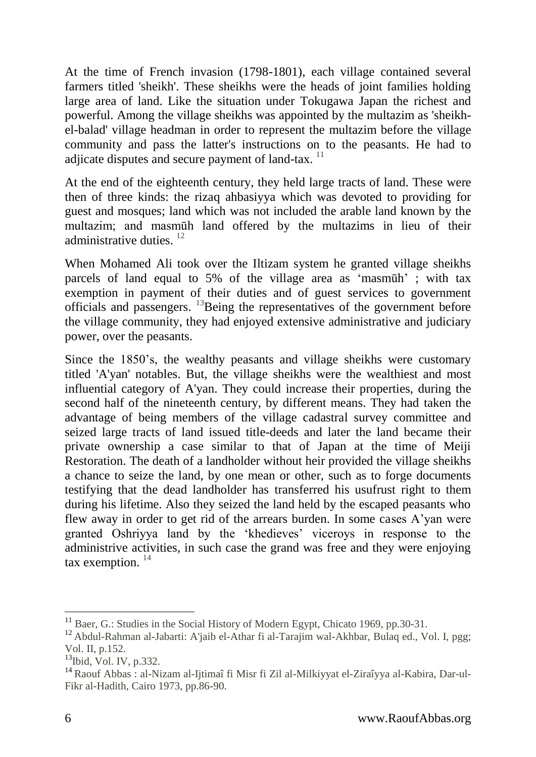At the time of French invasion (1798-1801), each village contained several farmers titled 'sheikh'. These sheikhs were the heads of joint families holding large area of land. Like the situation under Tokugawa Japan the richest and powerful. Among the village sheikhs was appointed by the multazim as 'sheikhel-balad' village headman in order to represent the multazim before the village community and pass the latter's instructions on to the peasants. He had to adjicate disputes and secure payment of land-tax. <sup>11</sup>

At the end of the eighteenth century, they held large tracts of land. These were then of three kinds: the rizaq ahbasiyya which was devoted to providing for guest and mosques; land which was not included the arable land known by the multazim; and masmūh land offered by the multazims in lieu of their administrative duties. <sup>12</sup>

When Mohamed Ali took over the Iltizam system he granted village sheikhs parcels of land equal to 5% of the village area as 'masmūh' ; with tax exemption in payment of their duties and of guest services to government officials and passengers. <sup>13</sup>Being the representatives of the government before the village community, they had enjoyed extensive administrative and judiciary power, over the peasants.

Since the 1850's, the wealthy peasants and village sheikhs were customary titled 'A'yan' notables. But, the village sheikhs were the wealthiest and most influential category of A'yan. They could increase their properties, during the second half of the nineteenth century, by different means. They had taken the advantage of being members of the village cadastral survey committee and seized large tracts of land issued title-deeds and later the land became their private ownership a case similar to that of Japan at the time of Meiji Restoration. The death of a landholder without heir provided the village sheikhs a chance to seize the land, by one mean or other, such as to forge documents testifying that the dead landholder has transferred his usufrust right to them during his lifetime. Also they seized the land held by the escaped peasants who flew away in order to get rid of the arrears burden. In some cases A'yan were granted Oshriyya land by the 'khedieves' viceroys in response to the administrive activities, in such case the grand was free and they were enjoying tax exemption.  $14$ 

<sup>&</sup>lt;sup>11</sup> Baer, G.: Studies in the Social History of Modern Egypt, Chicato 1969, pp.30-31.

<sup>&</sup>lt;sup>12</sup> Abdul-Rahman al-Jabarti: A'jaib el-Athar fi al-Tarajim wal-Akhbar, Bulaq ed., Vol. I, pgg; Vol. II, p.152.

<sup>&</sup>lt;sup>13</sup>Ibid. Vol. IV, p.332.

<sup>14</sup> Raouf Abbas : al-Nizam al-Ijtimaî fi Misr fi Zil al-Milkiyyat el-Ziraîyya al-Kabira, Dar-ul-Fikr al-Hadith, Cairo 1973, pp.86-90.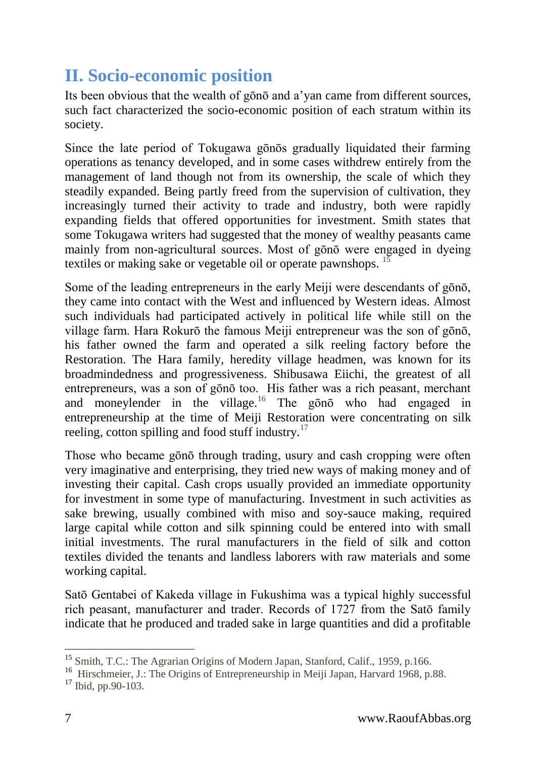# <span id="page-6-0"></span>**II. Socio-economic position**

Its been obvious that the wealth of gōnō and a'yan came from different sources, such fact characterized the socio-economic position of each stratum within its society.

Since the late period of Tokugawa gōnōs gradually liquidated their farming operations as tenancy developed, and in some cases withdrew entirely from the management of land though not from its ownership, the scale of which they steadily expanded. Being partly freed from the supervision of cultivation, they increasingly turned their activity to trade and industry, both were rapidly expanding fields that offered opportunities for investment. Smith states that some Tokugawa writers had suggested that the money of wealthy peasants came mainly from non-agricultural sources. Most of gōnō were engaged in dyeing textiles or making sake or vegetable oil or operate pawnshops. <sup>15</sup>

Some of the leading entrepreneurs in the early Meiji were descendants of gōnō, they came into contact with the West and influenced by Western ideas. Almost such individuals had participated actively in political life while still on the village farm. Hara Rokurō the famous Meiji entrepreneur was the son of gōnō, his father owned the farm and operated a silk reeling factory before the Restoration. The Hara family, heredity village headmen, was known for its broadmindedness and progressiveness. Shibusawa Eiichi, the greatest of all entrepreneurs, was a son of gōnō too. His father was a rich peasant, merchant and moneylender in the village.<sup>16</sup> The gono who had engaged in entrepreneurship at the time of Meiji Restoration were concentrating on silk reeling, cotton spilling and food stuff industry.<sup>17</sup>

Those who became gōnō through trading, usury and cash cropping were often very imaginative and enterprising, they tried new ways of making money and of investing their capital. Cash crops usually provided an immediate opportunity for investment in some type of manufacturing. Investment in such activities as sake brewing, usually combined with miso and soy-sauce making, required large capital while cotton and silk spinning could be entered into with small initial investments. The rural manufacturers in the field of silk and cotton textiles divided the tenants and landless laborers with raw materials and some working capital.

Satō Gentabei of Kakeda village in Fukushima was a typical highly successful rich peasant, manufacturer and trader. Records of 1727 from the Satō family indicate that he produced and traded sake in large quantities and did a profitable

<sup>&</sup>lt;sup>15</sup> Smith, T.C.: The Agrarian Origins of Modern Japan, Stanford, Calif., 1959, p.166.

<sup>&</sup>lt;sup>16</sup> Hirschmeier, J.: The Origins of Entrepreneurship in Meiji Japan, Harvard 1968, p.88.

 $17$  Ibid, pp. 90-103.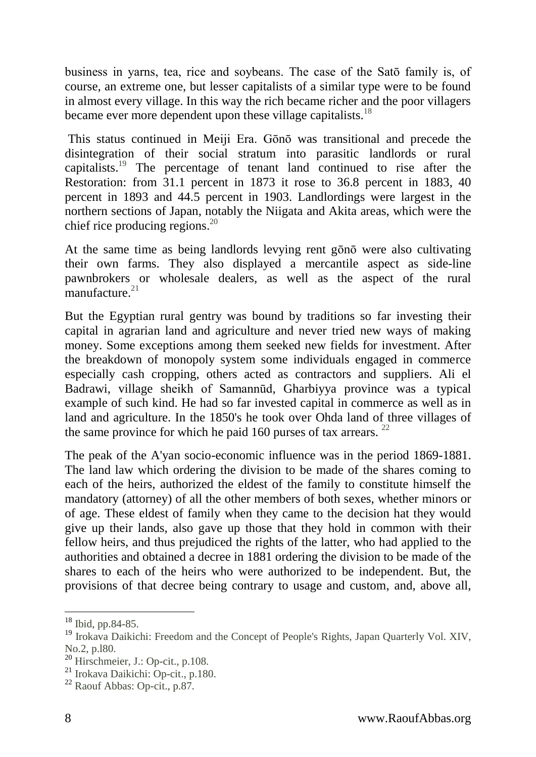business in yarns, tea, rice and soybeans. The case of the Satō family is, of course, an extreme one, but lesser capitalists of a similar type were to be found in almost every village. In this way the rich became richer and the poor villagers became ever more dependent upon these village capitalists.<sup>18</sup>

This status continued in Meiji Era. Gōnō was transitional and precede the disintegration of their social stratum into parasitic landlords or rural capitalists.<sup>19</sup> The percentage of tenant land continued to rise after the Restoration: from 31.1 percent in 1873 it rose to 36.8 percent in 1883, 40 percent in 1893 and 44.5 percent in 1903. Landlordings were largest in the northern sections of Japan, notably the Niigata and Akita areas, which were the chief rice producing regions. 20

At the same time as being landlords levying rent gōnō were also cultivating their own farms. They also displayed a mercantile aspect as side-line pawnbrokers or wholesale dealers, as well as the aspect of the rural manufacture. $21$ 

But the Egyptian rural gentry was bound by traditions so far investing their capital in agrarian land and agriculture and never tried new ways of making money. Some exceptions among them seeked new fields for investment. After the breakdown of monopoly system some individuals engaged in commerce especially cash cropping, others acted as contractors and suppliers. Ali el Badrawi, village sheikh of Samannūd, Gharbiyya province was a typical example of such kind. He had so far invested capital in commerce as well as in land and agriculture. In the 1850's he took over Ohda land of three villages of the same province for which he paid 160 purses of tax arrears.  $^{22}$ 

The peak of the A'yan socio-economic influence was in the period 1869-1881. The land law which ordering the division to be made of the shares coming to each of the heirs, authorized the eldest of the family to constitute himself the mandatory (attorney) of all the other members of both sexes, whether minors or of age. These eldest of family when they came to the decision hat they would give up their lands, also gave up those that they hold in common with their fellow heirs, and thus prejudiced the rights of the latter, who had applied to the authorities and obtained a decree in 1881 ordering the division to be made of the shares to each of the heirs who were authorized to be independent. But, the provisions of that decree being contrary to usage and custom, and, above all,

<sup>18</sup> Ibid, pp.84-85.

<sup>&</sup>lt;sup>19</sup> Irokava Daikichi: Freedom and the Concept of People's Rights, Japan Quarterly Vol. XIV, No.2, p.l80.

<sup>20</sup> Hirschmeier, J.: Op-cit., p.108.

<sup>21</sup> Irokava Daikichi: Op-cit., p.180.

<sup>22</sup> Raouf Abbas: Op-cit., p.87.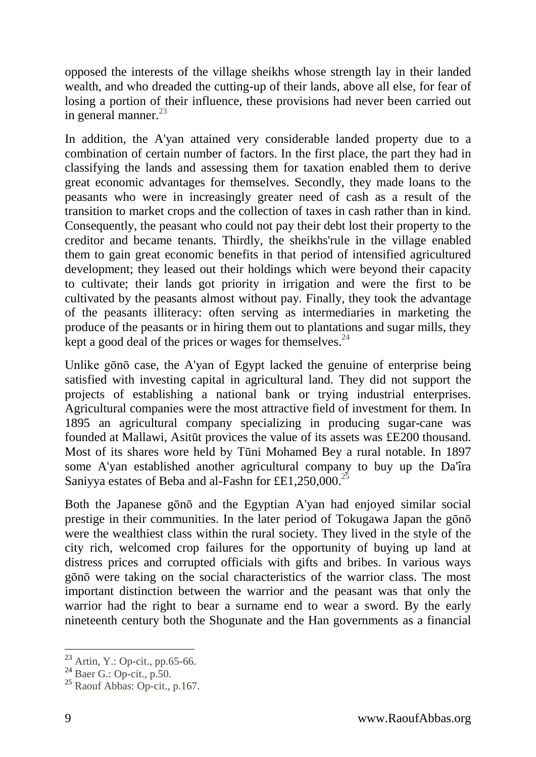opposed the interests of the village sheikhs whose strength lay in their landed wealth, and who dreaded the cutting-up of their lands, above all else, for fear of losing a portion of their influence, these provisions had never been carried out in general manner. $^{23}$ 

In addition, the A'yan attained very considerable landed property due to a combination of certain number of factors. In the first place, the part they had in classifying the lands and assessing them for taxation enabled them to derive great economic advantages for themselves. Secondly, they made loans to the peasants who were in increasingly greater need of cash as a result of the transition to market crops and the collection of taxes in cash rather than in kind. Consequently, the peasant who could not pay their debt lost their property to the creditor and became tenants. Thirdly, the sheikhs'rule in the village enabled them to gain great economic benefits in that period of intensified agricultured development; they leased out their holdings which were beyond their capacity to cultivate; their lands got priority in irrigation and were the first to be cultivated by the peasants almost without pay. Finally, they took the advantage of the peasants illiteracy: often serving as intermediaries in marketing the produce of the peasants or in hiring them out to plantations and sugar mills, they kept a good deal of the prices or wages for themselves. $^{24}$ 

Unlike gōnō case, the A'yan of Egypt lacked the genuine of enterprise being satisfied with investing capital in agricultural land. They did not support the projects of establishing a national bank or trying industrial enterprises. Agricultural companies were the most attractive field of investment for them. In 1895 an agricultural company specializing in producing sugar-cane was founded at Mallawi, Asitūt provices the value of its assets was £E200 thousand. Most of its shares wore held by Tūni Mohamed Bey a rural notable. In 1897 some A'yan established another agricultural company to buy up the Da'îra Saniyya estates of Beba and al-Fashn for £E1,250,000.<sup>25</sup>

Both the Japanese gōnō and the Egyptian A'yan had enjoyed similar social prestige in their communities. In the later period of Tokugawa Japan the gōnō were the wealthiest class within the rural society. They lived in the style of the city rich, welcomed crop failures for the opportunity of buying up land at distress prices and corrupted officials with gifts and bribes. In various ways gōnō were taking on the social characteristics of the warrior class. The most important distinction between the warrior and the peasant was that only the warrior had the right to bear a surname end to wear a sword. By the early nineteenth century both the Shogunate and the Han governments as a financial

 $23$  Artin, Y.: Op-cit., pp.65-66.

 $24$  Baer G.: Op-cit., p.50.

 $25$  Raouf Abbas: Op-cit., p.167.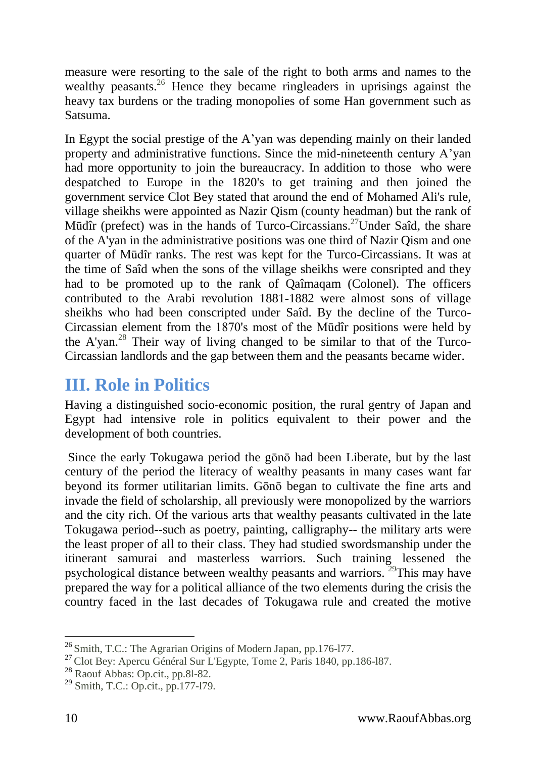measure were resorting to the sale of the right to both arms and names to the wealthy peasants.<sup>26</sup> Hence they became ringleaders in uprisings against the heavy tax burdens or the trading monopolies of some Han government such as Satsuma.

In Egypt the social prestige of the A'yan was depending mainly on their landed property and administrative functions. Since the mid-nineteenth century A'yan had more opportunity to join the bureaucracy. In addition to those who were despatched to Europe in the 1820's to get training and then joined the government service Clot Bey stated that around the end of Mohamed Ali's rule, village sheikhs were appointed as Nazir Qism (county headman) but the rank of Mūdîr (prefect) was in the hands of Turco-Circassians.<sup>27</sup>Under Saîd, the share of the A'yan in the administrative positions was one third of Nazir Qism and one quarter of Mūdîr ranks. The rest was kept for the Turco-Circassians. It was at the time of Saîd when the sons of the village sheikhs were consripted and they had to be promoted up to the rank of Qaîmaqam (Colonel). The officers contributed to the Arabi revolution 1881-1882 were almost sons of village sheikhs who had been conscripted under Saîd. By the decline of the Turco-Circassian element from the 1870's most of the Mūdîr positions were held by the A'yan. <sup>28</sup> Their way of living changed to be similar to that of the Turco-Circassian landlords and the gap between them and the peasants became wider.

# <span id="page-9-0"></span>**III. Role in Politics**

Having a distinguished socio-economic position, the rural gentry of Japan and Egypt had intensive role in politics equivalent to their power and the development of both countries.

Since the early Tokugawa period the gōnō had been Liberate, but by the last century of the period the literacy of wealthy peasants in many cases want far beyond its former utilitarian limits. Gōnō began to cultivate the fine arts and invade the field of scholarship, all previously were monopolized by the warriors and the city rich. Of the various arts that wealthy peasants cultivated in the late Tokugawa period--such as poetry, painting, calligraphy-- the military arts were the least proper of all to their class. They had studied swordsmanship under the itinerant samurai and masterless warriors. Such training lessened the psychological distance between wealthy peasants and warriors. <sup>29</sup>This may have prepared the way for a political alliance of the two elements during the crisis the country faced in the last decades of Tokugawa rule and created the motive

<sup>&</sup>lt;sup>26</sup> Smith, T.C.: The Agrarian Origins of Modern Japan, pp.176-177.

<sup>27</sup> Clot Bey: Apercu Général Sur L'Egypte, Tome 2, Paris 1840, pp.186-l87.

<sup>28</sup> Raouf Abbas: Op.cit., pp.8l-82.

<sup>29</sup> Smith, T.C.: Op.cit., pp.177-l79.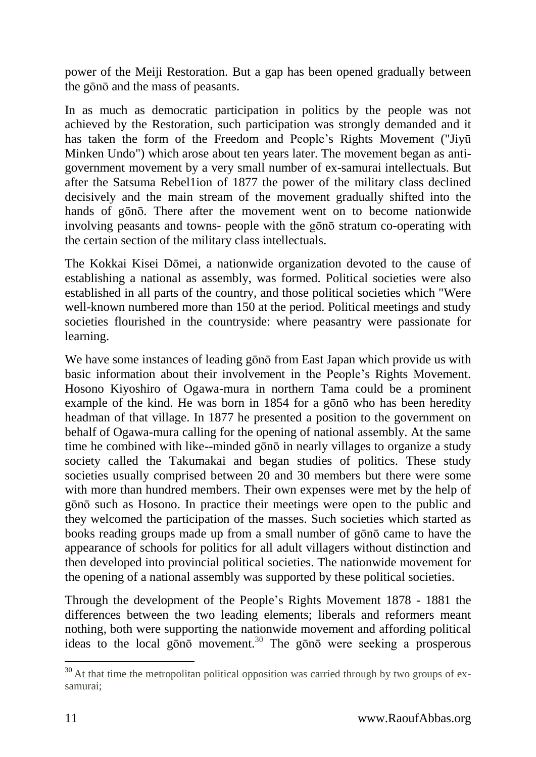power of the Meiji Restoration. But a gap has been opened gradually between the gōnō and the mass of peasants.

In as much as democratic participation in politics by the people was not achieved by the Restoration, such participation was strongly demanded and it has taken the form of the Freedom and People's Rights Movement ("Jiyū Minken Undo") which arose about ten years later. The movement began as antigovernment movement by a very small number of ex-samurai intellectuals. But after the Satsuma Rebel1ion of 1877 the power of the military class declined decisively and the main stream of the movement gradually shifted into the hands of gōnō. There after the movement went on to become nationwide involving peasants and towns- people with the gōnō stratum co-operating with the certain section of the military class intellectuals.

The Kokkai Kisei Dōmei, a nationwide organization devoted to the cause of establishing a national as assembly, was formed. Political societies were also established in all parts of the country, and those political societies which "Were well-known numbered more than 150 at the period. Political meetings and study societies flourished in the countryside: where peasantry were passionate for learning.

We have some instances of leading gono from East Japan which provide us with basic information about their involvement in the People's Rights Movement. Hosono Kiyoshiro of Ogawa-mura in northern Tama could be a prominent example of the kind. He was born in 1854 for a gōnō who has been heredity headman of that village. In 1877 he presented a position to the government on behalf of Ogawa-mura calling for the opening of national assembly. At the same time he combined with like--minded gōnō in nearly villages to organize a study society called the Takumakai and began studies of politics. These study societies usually comprised between 20 and 30 members but there were some with more than hundred members. Their own expenses were met by the help of gōnō such as Hosono. In practice their meetings were open to the public and they welcomed the participation of the masses. Such societies which started as books reading groups made up from a small number of gōnō came to have the appearance of schools for politics for all adult villagers without distinction and then developed into provincial political societies. The nationwide movement for the opening of a national assembly was supported by these political societies.

Through the development of the People's Rights Movement 1878 - 1881 the differences between the two leading elements; liberals and reformers meant nothing, both were supporting the nationwide movement and affording political ideas to the local gono movement.<sup>30</sup> The gono were seeking a prosperous

 $30$  At that time the metropolitan political opposition was carried through by two groups of exsamurai;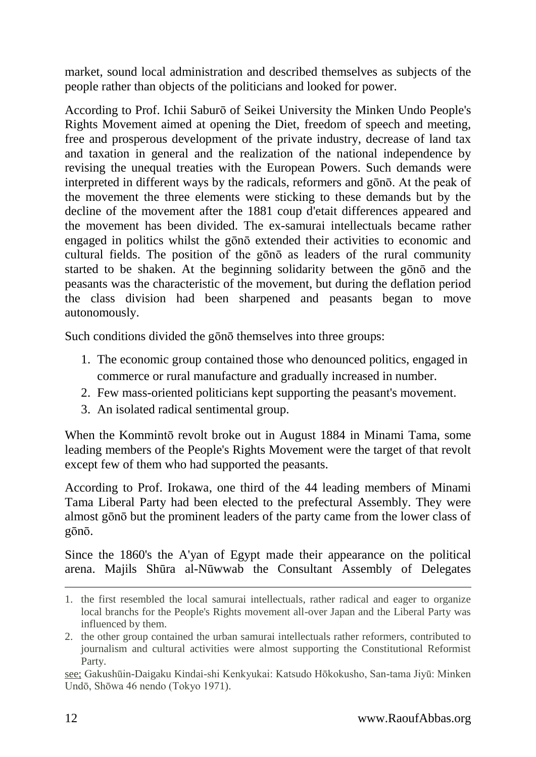market, sound local administration and described themselves as subjects of the people rather than objects of the politicians and looked for power.

According to Prof. Ichii Saburō of Seikei University the Minken Undo People's Rights Movement aimed at opening the Diet, freedom of speech and meeting, free and prosperous development of the private industry, decrease of land tax and taxation in general and the realization of the national independence by revising the unequal treaties with the European Powers. Such demands were interpreted in different ways by the radicals, reformers and gōnō. At the peak of the movement the three elements were sticking to these demands but by the decline of the movement after the 1881 coup d'etait differences appeared and the movement has been divided. The ex-samurai intellectuals became rather engaged in politics whilst the gōnō extended their activities to economic and cultural fields. The position of the gōnō as leaders of the rural community started to be shaken. At the beginning solidarity between the gōnō and the peasants was the characteristic of the movement, but during the deflation period the class division had been sharpened and peasants began to move autonomously.

Such conditions divided the gōnō themselves into three groups:

- 1. The economic group contained those who denounced politics, engaged in commerce or rural manufacture and gradually increased in number.
- 2. Few mass-oriented politicians kept supporting the peasant's movement.
- 3. An isolated radical sentimental group.

When the Kommintō revolt broke out in August 1884 in Minami Tama, some leading members of the People's Rights Movement were the target of that revolt except few of them who had supported the peasants.

According to Prof. Irokawa, one third of the 44 leading members of Minami Tama Liberal Party had been elected to the prefectural Assembly. They were almost gōnō but the prominent leaders of the party came from the lower class of gōnō.

Since the 1860's the A'yan of Egypt made their appearance on the political arena. Majils Shūra al-Nūwwab the Consultant Assembly of Delegates

<sup>1.</sup> the first resembled the local samurai intellectuals, rather radical and eager to organize local branchs for the People's Rights movement all-over Japan and the Liberal Party was influenced by them.

<sup>2.</sup> the other group contained the urban samurai intellectuals rather reformers, contributed to journalism and cultural activities were almost supporting the Constitutional Reformist Party.

see; Gakushūin-Daigaku Kindai-shi Kenkyukai: Katsudo Hōkokusho, San-tama Jiyū: Minken Undō, Shōwa 46 nendo (Tokyo 1971).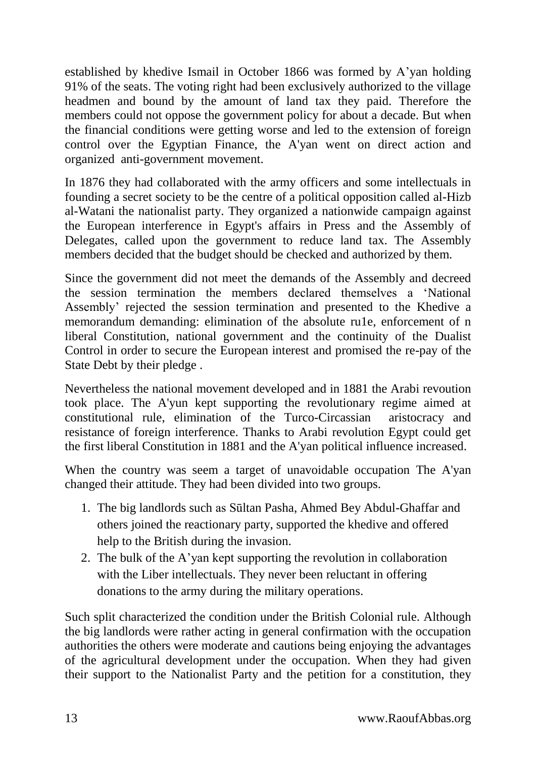established by khedive Ismail in October 1866 was formed by A'yan holding 91% of the seats. The voting right had been exclusively authorized to the village headmen and bound by the amount of land tax they paid. Therefore the members could not oppose the government policy for about a decade. But when the financial conditions were getting worse and led to the extension of foreign control over the Egyptian Finance, the A'yan went on direct action and organized anti-government movement.

In 1876 they had collaborated with the army officers and some intellectuals in founding a secret society to be the centre of a political opposition called al-Hizb al-Watani the nationalist party. They organized a nationwide campaign against the European interference in Egypt's affairs in Press and the Assembly of Delegates, called upon the government to reduce land tax. The Assembly members decided that the budget should be checked and authorized by them.

Since the government did not meet the demands of the Assembly and decreed the session termination the members declared themselves a 'National Assembly' rejected the session termination and presented to the Khedive a memorandum demanding: elimination of the absolute ru1e, enforcement of n liberal Constitution, national government and the continuity of the Dualist Control in order to secure the European interest and promised the re-pay of the State Debt by their pledge .

Nevertheless the national movement developed and in 1881 the Arabi revoution took place. The A'yun kept supporting the revolutionary regime aimed at constitutional rule, elimination of the Turco-Circassian aristocracy and resistance of foreign interference. Thanks to Arabi revolution Egypt could get the first liberal Constitution in 1881 and the A'yan political influence increased.

When the country was seem a target of unavoidable occupation The A'yan changed their attitude. They had been divided into two groups.

- 1. The big landlords such as Sūltan Pasha, Ahmed Bey Abdul-Ghaffar and others joined the reactionary party, supported the khedive and offered help to the British during the invasion.
- 2. The bulk of the A'yan kept supporting the revolution in collaboration with the Liber intellectuals. They never been reluctant in offering donations to the army during the military operations.

Such split characterized the condition under the British Colonial rule. Although the big landlords were rather acting in general confirmation with the occupation authorities the others were moderate and cautions being enjoying the advantages of the agricultural development under the occupation. When they had given their support to the Nationalist Party and the petition for a constitution, they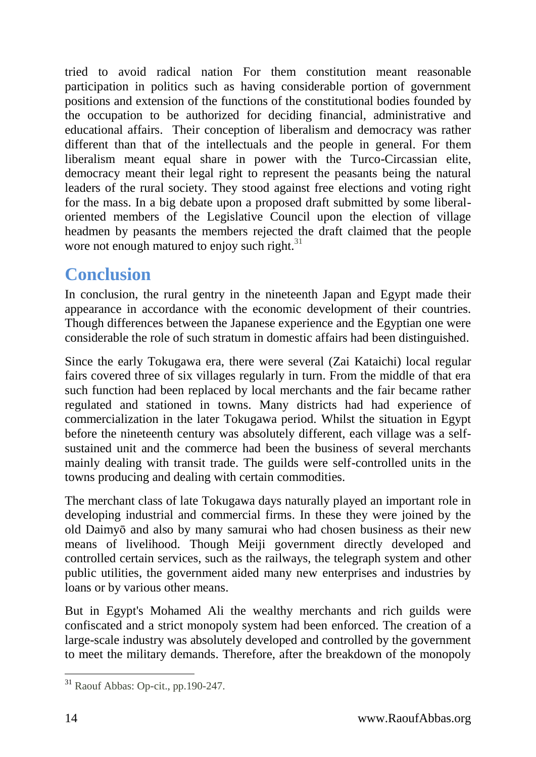tried to avoid radical nation For them constitution meant reasonable participation in politics such as having considerable portion of government positions and extension of the functions of the constitutional bodies founded by the occupation to be authorized for deciding financial, administrative and educational affairs. Their conception of liberalism and democracy was rather different than that of the intellectuals and the people in general. For them liberalism meant equal share in power with the Turco-Circassian elite, democracy meant their legal right to represent the peasants being the natural leaders of the rural society. They stood against free elections and voting right for the mass. In a big debate upon a proposed draft submitted by some liberaloriented members of the Legislative Council upon the election of village headmen by peasants the members rejected the draft claimed that the people wore not enough matured to enjoy such right. $31$ 

## <span id="page-13-0"></span>**Conclusion**

In conclusion, the rural gentry in the nineteenth Japan and Egypt made their appearance in accordance with the economic development of their countries. Though differences between the Japanese experience and the Egyptian one were considerable the role of such stratum in domestic affairs had been distinguished.

Since the early Tokugawa era, there were several (Zai Kataichi) local regular fairs covered three of six villages regularly in turn. From the middle of that era such function had been replaced by local merchants and the fair became rather regulated and stationed in towns. Many districts had had experience of commercialization in the later Tokugawa period. Whilst the situation in Egypt before the nineteenth century was absolutely different, each village was a selfsustained unit and the commerce had been the business of several merchants mainly dealing with transit trade. The guilds were self-controlled units in the towns producing and dealing with certain commodities.

The merchant class of late Tokugawa days naturally played an important role in developing industrial and commercial firms. In these they were joined by the old Daimyō and also by many samurai who had chosen business as their new means of livelihood. Though Meiji government directly developed and controlled certain services, such as the railways, the telegraph system and other public utilities, the government aided many new enterprises and industries by loans or by various other means.

But in Egypt's Mohamed Ali the wealthy merchants and rich guilds were confiscated and a strict monopoly system had been enforced. The creation of a large-scale industry was absolutely developed and controlled by the government to meet the military demands. Therefore, after the breakdown of the monopoly

<sup>-</sup><sup>31</sup> Raouf Abbas: Op-cit., pp.190-247.